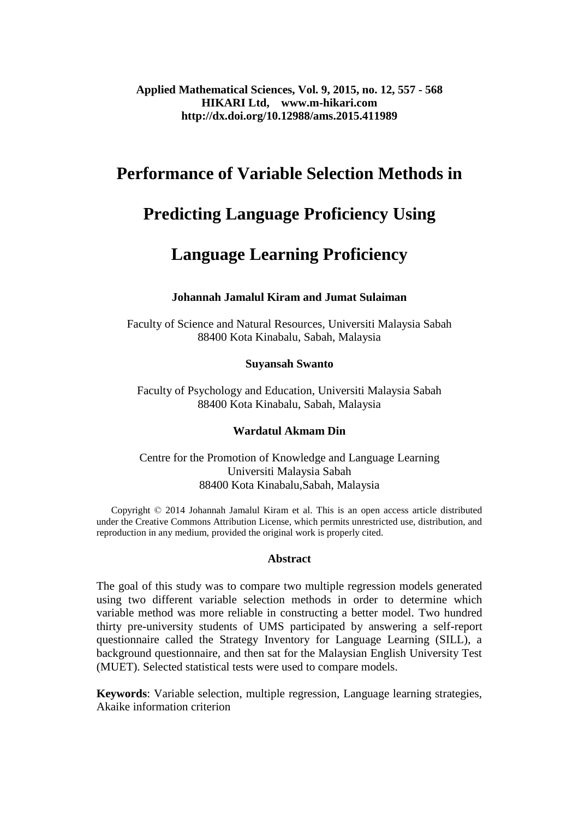# **Performance of Variable Selection Methods in**

# **Predicting Language Proficiency Using**

# **Language Learning Proficiency**

# **Johannah Jamalul Kiram and Jumat Sulaiman**

Faculty of Science and Natural Resources, Universiti Malaysia Sabah 88400 Kota Kinabalu, Sabah, Malaysia

# **Suyansah Swanto**

Faculty of Psychology and Education, Universiti Malaysia Sabah 88400 Kota Kinabalu, Sabah, Malaysia

# **Wardatul Akmam Din**

Centre for the Promotion of Knowledge and Language Learning Universiti Malaysia Sabah 88400 Kota Kinabalu,Sabah, Malaysia

 Copyright © 2014 Johannah Jamalul Kiram et al. This is an open access article distributed under the Creative Commons Attribution License, which permits unrestricted use, distribution, and reproduction in any medium, provided the original work is properly cited.

### **Abstract**

The goal of this study was to compare two multiple regression models generated using two different variable selection methods in order to determine which variable method was more reliable in constructing a better model. Two hundred thirty pre-university students of UMS participated by answering a self-report questionnaire called the Strategy Inventory for Language Learning (SILL), a background questionnaire, and then sat for the Malaysian English University Test (MUET). Selected statistical tests were used to compare models.

**Keywords**: Variable selection, multiple regression, Language learning strategies, Akaike information criterion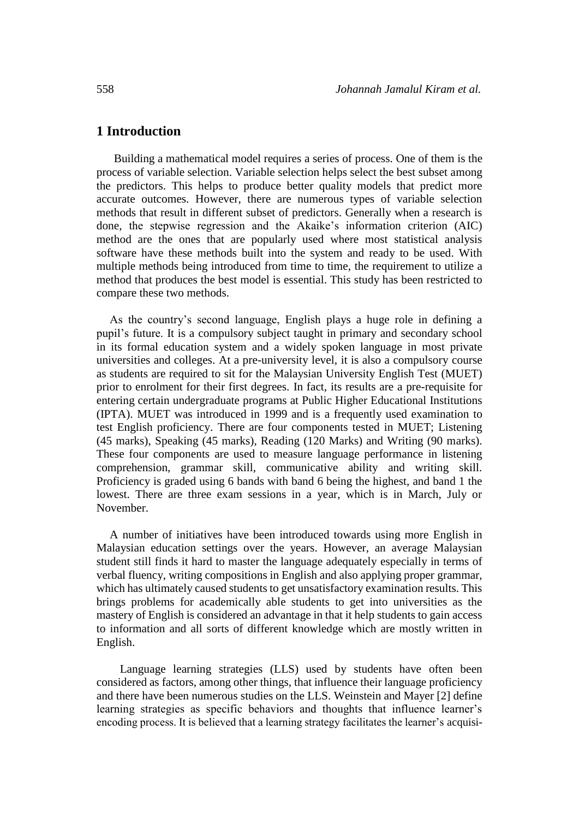## **1 Introduction**

 Building a mathematical model requires a series of process. One of them is the process of variable selection. Variable selection helps select the best subset among the predictors. This helps to produce better quality models that predict more accurate outcomes. However, there are numerous types of variable selection methods that result in different subset of predictors. Generally when a research is done, the stepwise regression and the Akaike's information criterion (AIC) method are the ones that are popularly used where most statistical analysis software have these methods built into the system and ready to be used. With multiple methods being introduced from time to time, the requirement to utilize a method that produces the best model is essential. This study has been restricted to compare these two methods.

As the country's second language, English plays a huge role in defining a pupil's future. It is a compulsory subject taught in primary and secondary school in its formal education system and a widely spoken language in most private universities and colleges. At a pre-university level, it is also a compulsory course as students are required to sit for the Malaysian University English Test (MUET) prior to enrolment for their first degrees. In fact, its results are a pre-requisite for entering certain undergraduate programs at Public Higher Educational Institutions (IPTA). MUET was introduced in 1999 and is a frequently used examination to test English proficiency. There are four components tested in MUET; Listening (45 marks), Speaking (45 marks), Reading (120 Marks) and Writing (90 marks). These four components are used to measure language performance in listening comprehension, grammar skill, communicative ability and writing skill. Proficiency is graded using 6 bands with band 6 being the highest, and band 1 the lowest. There are three exam sessions in a year, which is in March, July or November.

A number of initiatives have been introduced towards using more English in Malaysian education settings over the years. However, an average Malaysian student still finds it hard to master the language adequately especially in terms of verbal fluency, writing compositions in English and also applying proper grammar, which has ultimately caused students to get unsatisfactory examination results. This brings problems for academically able students to get into universities as the mastery of English is considered an advantage in that it help students to gain access to information and all sorts of different knowledge which are mostly written in English.

Language learning strategies (LLS) used by students have often been considered as factors, among other things, that influence their language proficiency and there have been numerous studies on the LLS. Weinstein and Mayer [2] define learning strategies as specific behaviors and thoughts that influence learner's encoding process. It is believed that a learning strategy facilitates the learner's acquisi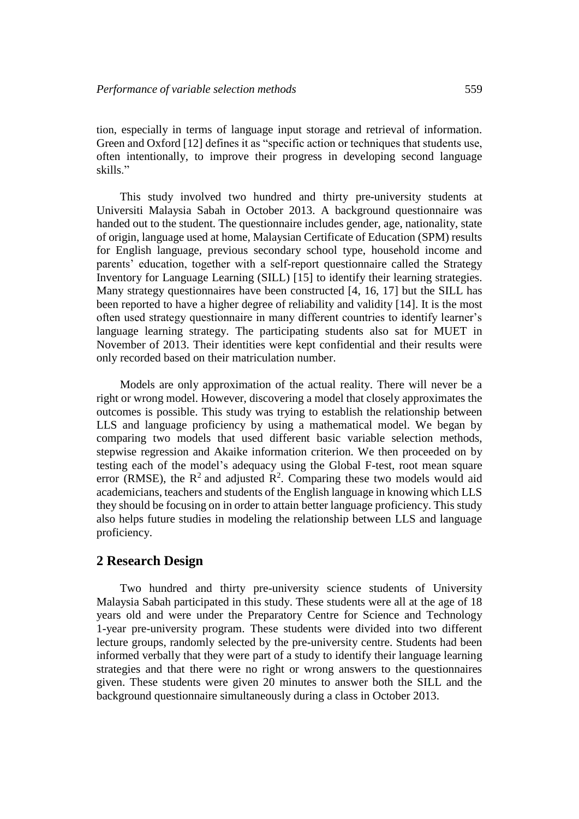tion, especially in terms of language input storage and retrieval of information. Green and Oxford [12] defines it as "specific action or techniques that students use, often intentionally, to improve their progress in developing second language skills."

This study involved two hundred and thirty pre-university students at Universiti Malaysia Sabah in October 2013. A background questionnaire was handed out to the student. The questionnaire includes gender, age, nationality, state of origin, language used at home, Malaysian Certificate of Education (SPM) results for English language, previous secondary school type, household income and parents' education, together with a self-report questionnaire called the Strategy Inventory for Language Learning (SILL) [15] to identify their learning strategies. Many strategy questionnaires have been constructed [4, 16, 17] but the SILL has been reported to have a higher degree of reliability and validity [14]. It is the most often used strategy questionnaire in many different countries to identify learner's language learning strategy. The participating students also sat for MUET in November of 2013. Their identities were kept confidential and their results were only recorded based on their matriculation number.

Models are only approximation of the actual reality. There will never be a right or wrong model. However, discovering a model that closely approximates the outcomes is possible. This study was trying to establish the relationship between LLS and language proficiency by using a mathematical model. We began by comparing two models that used different basic variable selection methods, stepwise regression and Akaike information criterion. We then proceeded on by testing each of the model's adequacy using the Global F-test, root mean square error (RMSE), the  $R^2$  and adjusted  $R^2$ . Comparing these two models would aid academicians, teachers and students of the English language in knowing which LLS they should be focusing on in order to attain better language proficiency. This study also helps future studies in modeling the relationship between LLS and language proficiency.

# **2 Research Design**

Two hundred and thirty pre-university science students of University Malaysia Sabah participated in this study. These students were all at the age of 18 years old and were under the Preparatory Centre for Science and Technology 1-year pre-university program. These students were divided into two different lecture groups, randomly selected by the pre-university centre. Students had been informed verbally that they were part of a study to identify their language learning strategies and that there were no right or wrong answers to the questionnaires given. These students were given 20 minutes to answer both the SILL and the background questionnaire simultaneously during a class in October 2013.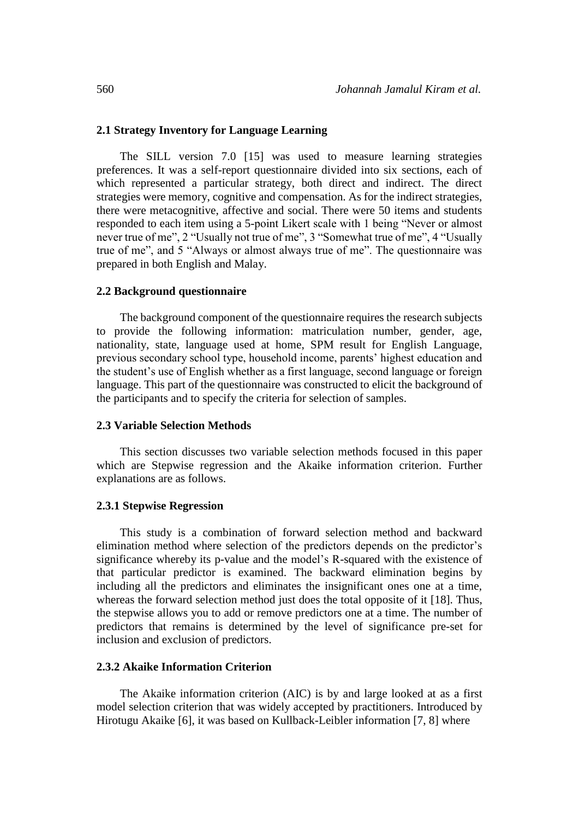#### **2.1 Strategy Inventory for Language Learning**

The SILL version 7.0 [15] was used to measure learning strategies preferences. It was a self-report questionnaire divided into six sections, each of which represented a particular strategy, both direct and indirect. The direct strategies were memory, cognitive and compensation. As for the indirect strategies, there were metacognitive, affective and social. There were 50 items and students responded to each item using a 5-point Likert scale with 1 being "Never or almost never true of me", 2 "Usually not true of me", 3 "Somewhat true of me", 4 "Usually true of me", and 5 "Always or almost always true of me". The questionnaire was prepared in both English and Malay.

#### **2.2 Background questionnaire**

The background component of the questionnaire requires the research subjects to provide the following information: matriculation number, gender, age, nationality, state, language used at home, SPM result for English Language, previous secondary school type, household income, parents' highest education and the student's use of English whether as a first language, second language or foreign language. This part of the questionnaire was constructed to elicit the background of the participants and to specify the criteria for selection of samples.

### **2.3 Variable Selection Methods**

This section discusses two variable selection methods focused in this paper which are Stepwise regression and the Akaike information criterion. Further explanations are as follows.

#### **2.3.1 Stepwise Regression**

This study is a combination of forward selection method and backward elimination method where selection of the predictors depends on the predictor's significance whereby its p-value and the model's R-squared with the existence of that particular predictor is examined. The backward elimination begins by including all the predictors and eliminates the insignificant ones one at a time, whereas the forward selection method just does the total opposite of it [18]. Thus, the stepwise allows you to add or remove predictors one at a time. The number of predictors that remains is determined by the level of significance pre-set for inclusion and exclusion of predictors.

## **2.3.2 Akaike Information Criterion**

The Akaike information criterion (AIC) is by and large looked at as a first model selection criterion that was widely accepted by practitioners. Introduced by Hirotugu Akaike [6], it was based on Kullback-Leibler information [7, 8] where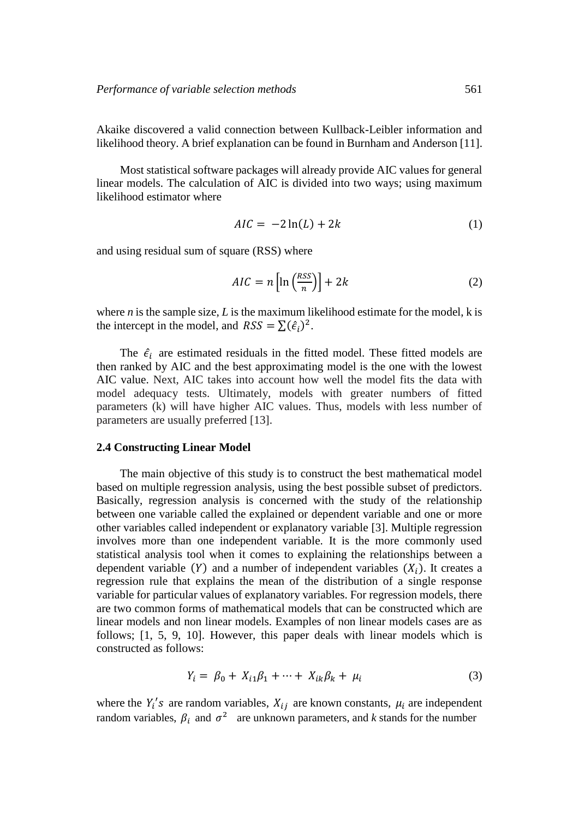Akaike discovered a valid connection between Kullback-Leibler information and likelihood theory. A brief explanation can be found in Burnham and Anderson [11].

Most statistical software packages will already provide AIC values for general linear models. The calculation of AIC is divided into two ways; using maximum likelihood estimator where

$$
AIC = -2\ln(L) + 2k\tag{1}
$$

and using residual sum of square (RSS) where

$$
AIC = n\left[\ln\left(\frac{RSS}{n}\right)\right] + 2k\tag{2}
$$

where *n* is the sample size, *L* is the maximum likelihood estimate for the model, *k* is the intercept in the model, and  $RSS = \sum (\hat{\epsilon}_i)^2$ .

The  $\hat{\epsilon}_i$  are estimated residuals in the fitted model. These fitted models are then ranked by AIC and the best approximating model is the one with the lowest AIC value. Next, AIC takes into account how well the model fits the data with model adequacy tests. Ultimately, models with greater numbers of fitted parameters (k) will have higher AIC values. Thus, models with less number of parameters are usually preferred [13].

#### **2.4 Constructing Linear Model**

The main objective of this study is to construct the best mathematical model based on multiple regression analysis, using the best possible subset of predictors. Basically, regression analysis is concerned with the study of the relationship between one variable called the explained or dependent variable and one or more other variables called independent or explanatory variable [3]. Multiple regression involves more than one independent variable. It is the more commonly used statistical analysis tool when it comes to explaining the relationships between a dependent variable  $(Y)$  and a number of independent variables  $(X_i)$ . It creates a regression rule that explains the mean of the distribution of a single response variable for particular values of explanatory variables. For regression models, there are two common forms of mathematical models that can be constructed which are linear models and non linear models. Examples of non linear models cases are as follows; [1, 5, 9, 10]. However, this paper deals with linear models which is constructed as follows:

$$
Y_i = \beta_0 + X_{i1}\beta_1 + \dots + X_{ik}\beta_k + \mu_i
$$
 (3)

where the  $Y_i$ 's are random variables,  $X_{ij}$  are known constants,  $\mu_i$  are independent random variables,  $\beta_i$  and  $\sigma^2$  are unknown parameters, and *k* stands for the number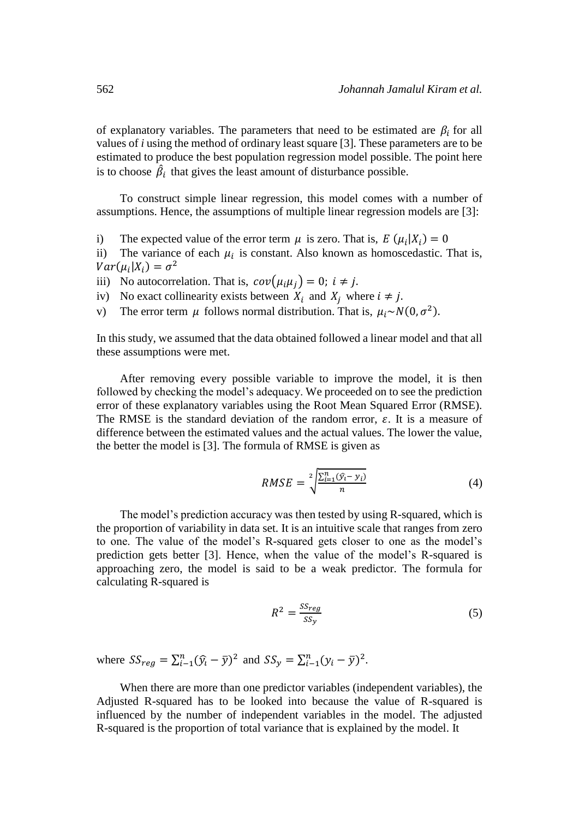of explanatory variables. The parameters that need to be estimated are  $\beta_i$  for all values of *i* using the method of ordinary least square [3]*.* These parameters are to be estimated to produce the best population regression model possible. The point here is to choose  $\hat{\beta}_i$  that gives the least amount of disturbance possible.

To construct simple linear regression, this model comes with a number of assumptions. Hence, the assumptions of multiple linear regression models are [3]:

i) The expected value of the error term  $\mu$  is zero. That is,  $E(\mu_i|X_i) = 0$ 

ii) The variance of each  $\mu_i$  is constant. Also known as homoscedastic. That is,  $Var(\mu_i|X_i) = \sigma^2$ 

iii) No autocorrelation. That is,  $cov(\mu_i \mu_i) = 0; i \neq j$ .

- iv) No exact collinearity exists between  $X_i$  and  $X_j$  where  $i \neq j$ .
- v) The error term  $\mu$  follows normal distribution. That is,  $\mu_i \sim N(0, \sigma^2)$ .

In this study, we assumed that the data obtained followed a linear model and that all these assumptions were met.

After removing every possible variable to improve the model, it is then followed by checking the model's adequacy. We proceeded on to see the prediction error of these explanatory variables using the Root Mean Squared Error (RMSE). The RMSE is the standard deviation of the random error,  $\varepsilon$ . It is a measure of difference between the estimated values and the actual values. The lower the value, the better the model is [3]. The formula of RMSE is given as

$$
RMSE = \sqrt[2]{\frac{\sum_{i=1}^{n} (\hat{y}_i - y_i)}{n}}
$$
(4)

The model's prediction accuracy was then tested by using R-squared, which is the proportion of variability in data set. It is an intuitive scale that ranges from zero to one. The value of the model's R-squared gets closer to one as the model's prediction gets better [3]. Hence, when the value of the model's R-squared is approaching zero, the model is said to be a weak predictor. The formula for calculating R-squared is

$$
R^2 = \frac{SS_{reg}}{SS_y} \tag{5}
$$

where  $SS_{reg} = \sum_{i=1}^{n} (\hat{y}_i - \bar{y})^2$  and  $SS_y = \sum_{i=1}^{n} (y_i - \bar{y})^2$ .

When there are more than one predictor variables (independent variables), the Adjusted R-squared has to be looked into because the value of R-squared is influenced by the number of independent variables in the model. The adjusted R-squared is the proportion of total variance that is explained by the model. It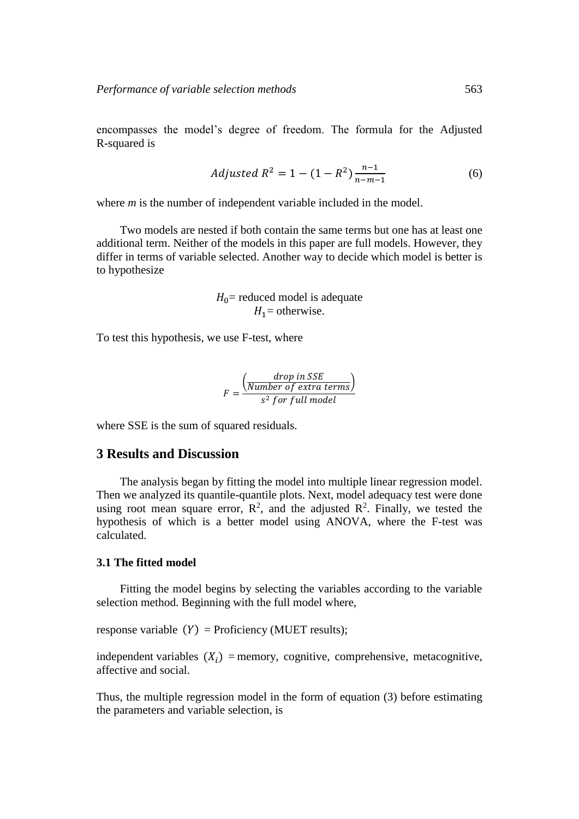encompasses the model's degree of freedom. The formula for the Adjusted R-squared is

$$
adjusted R^2 = 1 - (1 - R^2) \frac{n-1}{n-m-1}
$$
 (6)

where *m* is the number of independent variable included in the model.

Two models are nested if both contain the same terms but one has at least one additional term. Neither of the models in this paper are full models. However, they differ in terms of variable selected. Another way to decide which model is better is to hypothesize

> $H_0$ = reduced model is adequate  $H_1$  = otherwise.

To test this hypothesis, we use F-test, where

$$
F = \frac{\left(\frac{drop \ in \ SSE}{Number \ of \ extra \ terms}\right)}{s^2 \ for \ full \ model}
$$

where SSE is the sum of squared residuals.

# **3 Results and Discussion**

The analysis began by fitting the model into multiple linear regression model. Then we analyzed its quantile-quantile plots. Next, model adequacy test were done using root mean square error,  $\mathbb{R}^2$ , and the adjusted  $\mathbb{R}^2$ . Finally, we tested the hypothesis of which is a better model using ANOVA, where the F-test was calculated.

## **3.1 The fitted model**

Fitting the model begins by selecting the variables according to the variable selection method. Beginning with the full model where,

response variable  $(Y)$  = Proficiency (MUET results);

independent variables  $(X_i)$  = memory, cognitive, comprehensive, metacognitive, affective and social.

Thus, the multiple regression model in the form of equation (3) before estimating the parameters and variable selection, is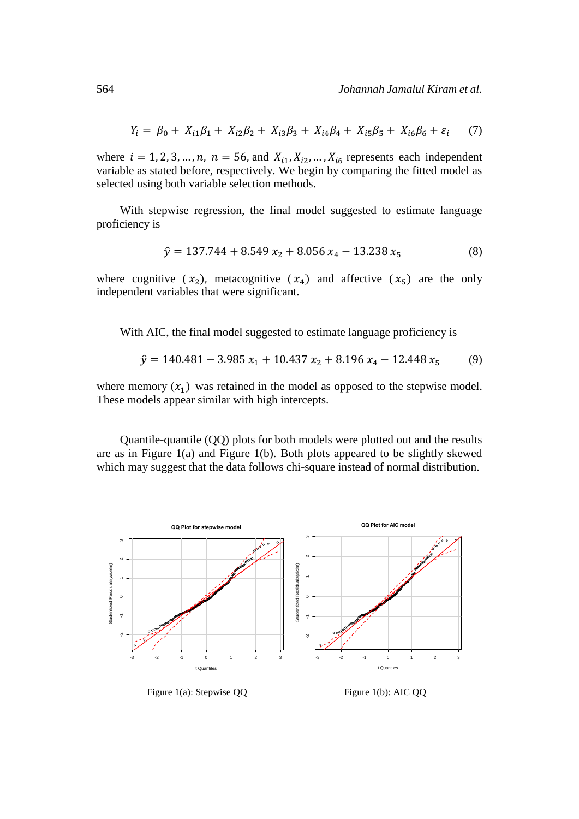$$
Y_i = \beta_0 + X_{i1}\beta_1 + X_{i2}\beta_2 + X_{i3}\beta_3 + X_{i4}\beta_4 + X_{i5}\beta_5 + X_{i6}\beta_6 + \varepsilon_i \tag{7}
$$

where  $i = 1, 2, 3, ..., n$ ,  $n = 56$ , and  $X_{i1}, X_{i2}, ..., X_{i6}$  represents each independent variable as stated before, respectively. We begin by comparing the fitted model as selected using both variable selection methods.

With stepwise regression, the final model suggested to estimate language proficiency is

$$
\hat{y} = 137.744 + 8.549 x_2 + 8.056 x_4 - 13.238 x_5 \tag{8}
$$

where cognitive  $(x_2)$ , metacognitive  $(x_4)$  and affective  $(x_5)$  are the only independent variables that were significant.

With AIC, the final model suggested to estimate language proficiency is

$$
\hat{y} = 140.481 - 3.985 x_1 + 10.437 x_2 + 8.196 x_4 - 12.448 x_5 \tag{9}
$$

where memory  $(x_1)$  was retained in the model as opposed to the stepwise model. These models appear similar with high intercepts.

Quantile-quantile (QQ) plots for both models were plotted out and the results are as in Figure 1(a) and Figure 1(b). Both plots appeared to be slightly skewed which may suggest that the data follows chi-square instead of normal distribution.



Figure 1(a): Stepwise QQ

Figure 1(b): AIC QQ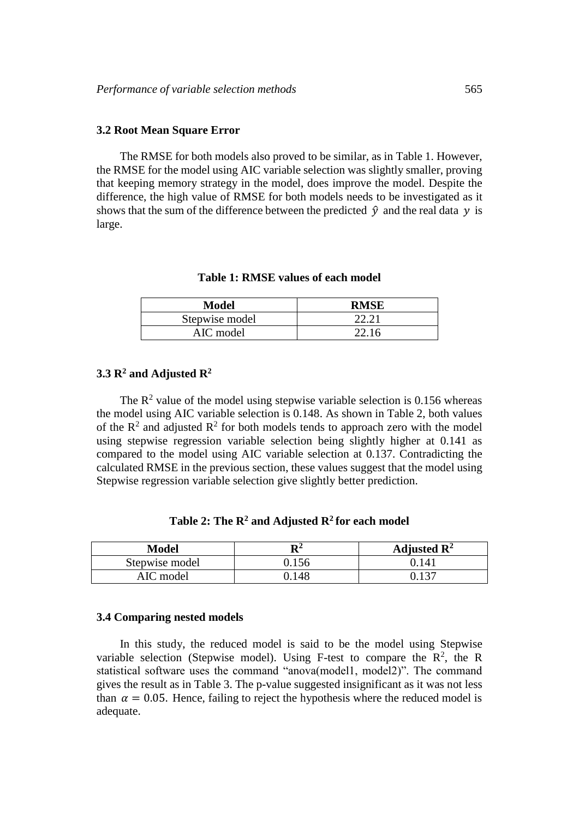#### **3.2 Root Mean Square Error**

The RMSE for both models also proved to be similar, as in Table 1. However, the RMSE for the model using AIC variable selection was slightly smaller, proving that keeping memory strategy in the model, does improve the model. Despite the difference, the high value of RMSE for both models needs to be investigated as it shows that the sum of the difference between the predicted  $\hat{v}$  and the real data  $v$  is large.

#### **Table 1: RMSE values of each model**

| Model          | <b>RMSE</b> |
|----------------|-------------|
| Stepwise model | 22.21       |
| AIC model      | 22.16       |

# **3.3 R<sup>2</sup> and Adjusted R<sup>2</sup>**

The  $\mathbb{R}^2$  value of the model using stepwise variable selection is 0.156 whereas the model using AIC variable selection is 0.148. As shown in Table 2, both values of the  $\mathbb{R}^2$  and adjusted  $\mathbb{R}^2$  for both models tends to approach zero with the model using stepwise regression variable selection being slightly higher at 0.141 as compared to the model using AIC variable selection at 0.137. Contradicting the calculated RMSE in the previous section, these values suggest that the model using Stepwise regression variable selection give slightly better prediction.

**Table 2: The R<sup>2</sup> and Adjusted R<sup>2</sup>for each model**

| Model          | $\mathbf{R}^2$ | Adjusted $\mathbb{R}^2$ |
|----------------|----------------|-------------------------|
| Stepwise model |                | 14.                     |
| AIC model      | ).148          |                         |

#### **3.4 Comparing nested models**

In this study, the reduced model is said to be the model using Stepwise variable selection (Stepwise model). Using F-test to compare the  $\mathbb{R}^2$ , the R statistical software uses the command "anova(model1, model2)". The command gives the result as in Table 3. The p-value suggested insignificant as it was not less than  $\alpha = 0.05$ . Hence, failing to reject the hypothesis where the reduced model is adequate.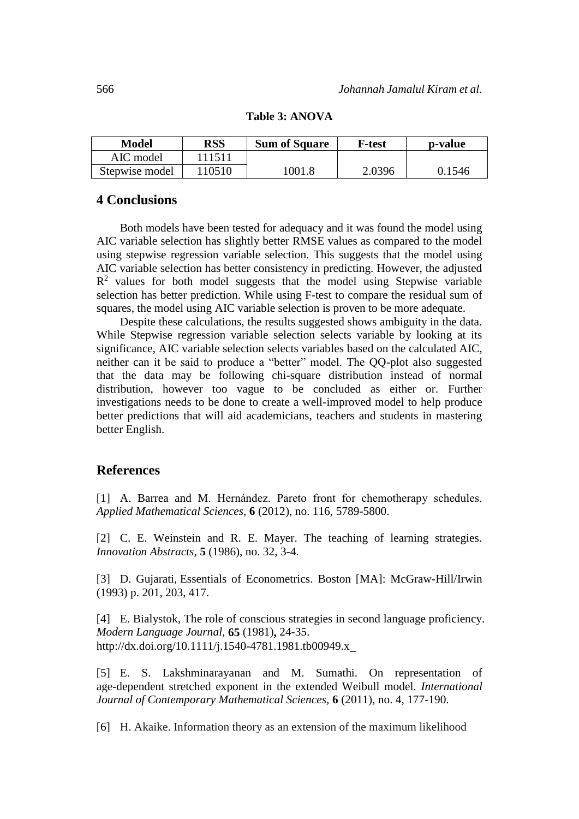| Model          | RSS    | <b>Sum of Square</b> | <b>F-test</b> | p-value |
|----------------|--------|----------------------|---------------|---------|
| AIC model      | 111511 |                      |               |         |
| Stepwise model | 10510  | 1001.8               | 2.0396        | 0.1546  |

### **Table 3: ANOVA**

# **4 Conclusions**

Both models have been tested for adequacy and it was found the model using AIC variable selection has slightly better RMSE values as compared to the model using stepwise regression variable selection. This suggests that the model using AIC variable selection has better consistency in predicting. However, the adjusted  $R<sup>2</sup>$  values for both model suggests that the model using Stepwise variable selection has better prediction. While using F-test to compare the residual sum of squares, the model using AIC variable selection is proven to be more adequate.

Despite these calculations, the results suggested shows ambiguity in the data. While Stepwise regression variable selection selects variable by looking at its significance, AIC variable selection selects variables based on the calculated AIC, neither can it be said to produce a "better" model. The QQ-plot also suggested that the data may be following chi-square distribution instead of normal distribution, however too vague to be concluded as either or. Further investigations needs to be done to create a well-improved model to help produce better predictions that will aid academicians, teachers and students in mastering better English.

# **References**

[1] A. Barrea and M. Hernández. Pareto front for chemotherapy schedules. *Applied Mathematical Sciences,* **6** (2012), no. 116, 5789-5800.

[2] C. E. Weinstein and R. E. Mayer. The teaching of learning strategies. *Innovation Abstracts*, **5** (1986), no. 32, 3-4.

[3] D. Gujarati, Essentials of Econometrics. Boston [MA]: McGraw-Hill/Irwin (1993) p. 201, 203, 417.

[4] E. Bialystok, The role of conscious strategies in second language proficiency. *Modern Language Journal,* **65** (1981)**,** 24-35. <http://dx.doi.org/10.1111/j.1540-4781.1981.tb00949.x>

[5] E. S. Lakshminarayanan and M. Sumathi. On representation of age-dependent stretched exponent in the extended Weibull model. *International Journal of Contemporary Mathematical Sciences,* **6** (2011), no. 4, 177-190.

[6] H. Akaike. Information theory as an extension of the maximum likelihood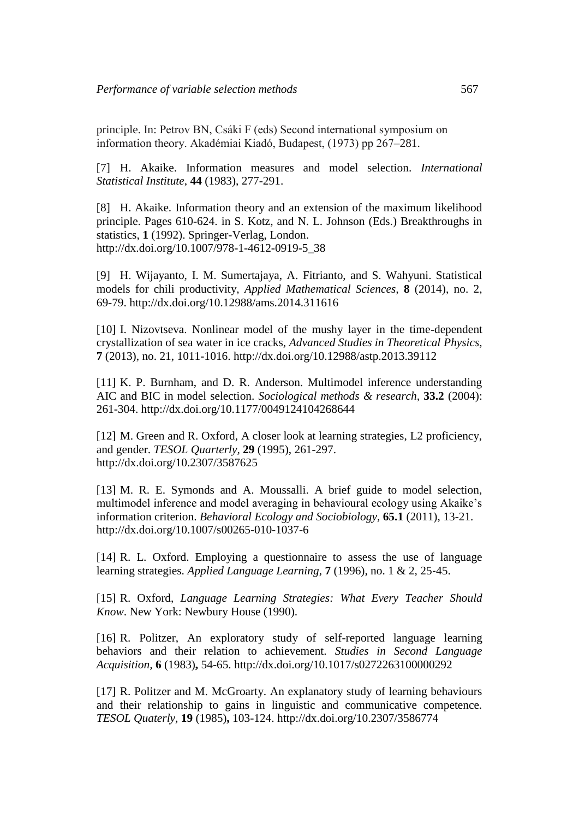principle. In: Petrov BN, Csáki F (eds) Second international symposium on information theory. Akadémiai Kiadó, Budapest, (1973) pp 267–281.

[7] H. Akaike. Information measures and model selection. *International Statistical Institute*, **44** (1983), 277-291.

[8] H. Akaike. Information theory and an extension of the maximum likelihood principle. Pages 610-624. in S. Kotz, and N. L. Johnson (Eds.) Breakthroughs in statistics, **1** (1992). Springer-Verlag, London. [http://dx.doi.org/10.1007/978-1-4612-0919-5\\_38](http://dx.doi.org/10.1007/978-1-4612-0919-5_38) 

[9] H. Wijayanto, I. M. Sumertajaya, A. Fitrianto, and S. Wahyuni. Statistical models for chili productivity, *Applied Mathematical Sciences,* **8** (2014), no. 2, 69-79.<http://dx.doi.org/10.12988/ams.2014.311616>

[10] I. Nizovtseva. Nonlinear model of the mushy layer in the time-dependent crystallization of sea water in ice cracks, *Advanced Studies in Theoretical Physics,*  **7** (2013), no. 21, 1011-1016.<http://dx.doi.org/10.12988/astp.2013.39112>

[11] K. P. Burnham, and D. R. Anderson. Multimodel inference understanding AIC and BIC in model selection. *Sociological methods & research,* **33.2** (2004): 261-304. <http://dx.doi.org/10.1177/0049124104268644>

[12] M. Green and R. Oxford, A closer look at learning strategies, L2 proficiency, and gender. *TESOL Quarterly,* **29** (1995), 261-297. <http://dx.doi.org/10.2307/3587625>

[13] M. R. E. Symonds and A. Moussalli. A brief guide to model selection, multimodel inference and model averaging in behavioural ecology using Akaike's information criterion. *Behavioral Ecology and Sociobiology,* **65.1** (2011), 13-21. <http://dx.doi.org/10.1007/s00265-010-1037-6>

[14] R. L. Oxford. Employing a questionnaire to assess the use of language learning strategies. *Applied Language Learning,* **7** (1996), no. 1 & 2*,* 25‐45.

[15] R. Oxford, *Language Learning Strategies: What Every Teacher Should Know*. New York: Newbury House (1990).

[16] R. Politzer, An exploratory study of self-reported language learning behaviors and their relation to achievement. *Studies in Second Language Acquisition,* **6** (1983)**,** 54-65. <http://dx.doi.org/10.1017/s0272263100000292>

[17] R. Politzer and M. McGroarty. An explanatory study of learning behaviours and their relationship to gains in linguistic and communicative competence. *TESOL Quaterly,* **19** (1985)**,** 103-124. <http://dx.doi.org/10.2307/3586774>